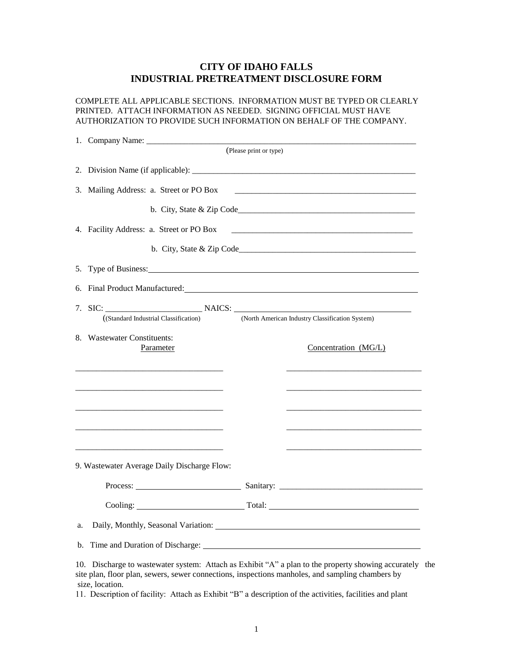## **CITY OF IDAHO FALLS INDUSTRIAL PRETREATMENT DISCLOSURE FORM**

COMPLETE ALL APPLICABLE SECTIONS. INFORMATION MUST BE TYPED OR CLEARLY PRINTED. ATTACH INFORMATION AS NEEDED. SIGNING OFFICIAL MUST HAVE AUTHORIZATION TO PROVIDE SUCH INFORMATION ON BEHALF OF THE COMPANY.

|                                                                                          |                                                                                                                                                                                                                                | (Please print or type) |                                                                                                                                                                                                                                |  |
|------------------------------------------------------------------------------------------|--------------------------------------------------------------------------------------------------------------------------------------------------------------------------------------------------------------------------------|------------------------|--------------------------------------------------------------------------------------------------------------------------------------------------------------------------------------------------------------------------------|--|
|                                                                                          |                                                                                                                                                                                                                                |                        |                                                                                                                                                                                                                                |  |
|                                                                                          | 3. Mailing Address: a. Street or PO Box                                                                                                                                                                                        |                        |                                                                                                                                                                                                                                |  |
|                                                                                          |                                                                                                                                                                                                                                |                        |                                                                                                                                                                                                                                |  |
|                                                                                          | 4. Facility Address: a. Street or PO Box                                                                                                                                                                                       |                        |                                                                                                                                                                                                                                |  |
|                                                                                          |                                                                                                                                                                                                                                |                        |                                                                                                                                                                                                                                |  |
|                                                                                          |                                                                                                                                                                                                                                |                        |                                                                                                                                                                                                                                |  |
|                                                                                          | 6. Final Product Manufactured: University of the contract of the contract of the contract of the contract of the contract of the contract of the contract of the contract of the contract of the contract of the contract of t |                        |                                                                                                                                                                                                                                |  |
| (North American Industry Classification System)<br>((Standard Industrial Classification) |                                                                                                                                                                                                                                |                        |                                                                                                                                                                                                                                |  |
|                                                                                          |                                                                                                                                                                                                                                |                        |                                                                                                                                                                                                                                |  |
|                                                                                          | 8. Wastewater Constituents:<br>Parameter                                                                                                                                                                                       |                        | Concentration (MG/L)                                                                                                                                                                                                           |  |
|                                                                                          |                                                                                                                                                                                                                                |                        |                                                                                                                                                                                                                                |  |
|                                                                                          |                                                                                                                                                                                                                                |                        |                                                                                                                                                                                                                                |  |
|                                                                                          |                                                                                                                                                                                                                                |                        |                                                                                                                                                                                                                                |  |
|                                                                                          |                                                                                                                                                                                                                                |                        |                                                                                                                                                                                                                                |  |
|                                                                                          |                                                                                                                                                                                                                                |                        |                                                                                                                                                                                                                                |  |
|                                                                                          | 9. Wastewater Average Daily Discharge Flow:                                                                                                                                                                                    |                        |                                                                                                                                                                                                                                |  |
|                                                                                          |                                                                                                                                                                                                                                |                        |                                                                                                                                                                                                                                |  |
|                                                                                          |                                                                                                                                                                                                                                |                        | Cooling: Total: Total: Total: Total: Total: Total: Total: Total: Total: Total: Total: Total: Total: Total: Total: Total: Total: Total: Total: Total: Total: Total: Total: Total: Total: Total: Total: Total: Total: Total: Tot |  |
| a.                                                                                       | Daily, Monthly, Seasonal Variation: University of the Contract of the Contract of the Contract of the Contract of the Contract of the Contract of the Contract of the Contract of the Contract of the Contract of the Contract |                        |                                                                                                                                                                                                                                |  |
| b.                                                                                       |                                                                                                                                                                                                                                |                        |                                                                                                                                                                                                                                |  |
|                                                                                          | 10. Discharge to wastewater system: Attach as Exhibit "A" a plan to the property showing accurately the                                                                                                                        |                        |                                                                                                                                                                                                                                |  |

site plan, floor plan, sewers, sewer connections, inspections manholes, and sampling chambers by size, location.

11. Description of facility: Attach as Exhibit "B" a description of the activities, facilities and plant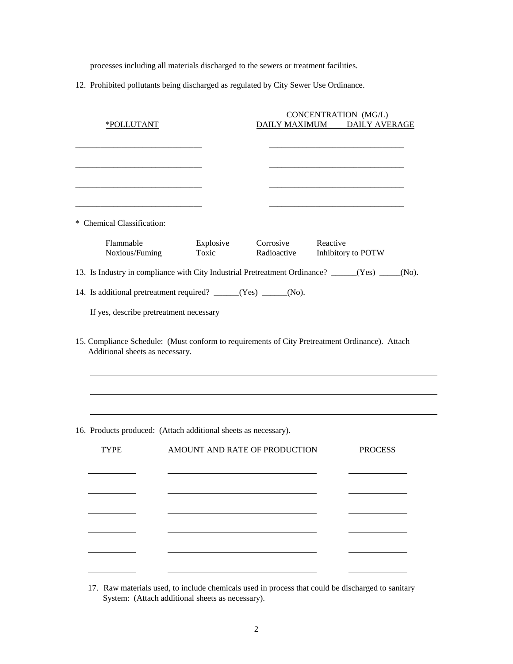processes including all materials discharged to the sewers or treatment facilities.

12. Prohibited pollutants being discharged as regulated by City Sewer Use Ordinance.

| <u>*POLLUTANT</u>                                                                                                                 |       | CONCENTRATION (MG/L)<br>DAILY MAXIMUM DAILY AVERAGE |                               |          |                    |  |
|-----------------------------------------------------------------------------------------------------------------------------------|-------|-----------------------------------------------------|-------------------------------|----------|--------------------|--|
|                                                                                                                                   |       |                                                     |                               |          |                    |  |
|                                                                                                                                   |       |                                                     |                               |          |                    |  |
|                                                                                                                                   |       |                                                     |                               |          |                    |  |
|                                                                                                                                   |       |                                                     |                               |          |                    |  |
| * Chemical Classification:                                                                                                        |       |                                                     |                               |          |                    |  |
| Flammable<br>Noxious/Fuming                                                                                                       | Toxic | Explosive                                           | Corrosive<br>Radioactive      | Reactive | Inhibitory to POTW |  |
| 13. Is Industry in compliance with City Industrial Pretreatment Ordinance? _____(Yes) ____(No).                                   |       |                                                     |                               |          |                    |  |
| 14. Is additional pretreatment required? _____(Yes) ____(No).                                                                     |       |                                                     |                               |          |                    |  |
| If yes, describe pretreatment necessary                                                                                           |       |                                                     |                               |          |                    |  |
|                                                                                                                                   |       |                                                     |                               |          |                    |  |
| 15. Compliance Schedule: (Must conform to requirements of City Pretreatment Ordinance). Attach<br>Additional sheets as necessary. |       |                                                     |                               |          |                    |  |
|                                                                                                                                   |       |                                                     |                               |          |                    |  |
|                                                                                                                                   |       |                                                     |                               |          |                    |  |
| 16. Products produced: (Attach additional sheets as necessary).                                                                   |       |                                                     |                               |          |                    |  |
| TYPE                                                                                                                              |       |                                                     | AMOUNT AND RATE OF PRODUCTION |          | <b>PROCESS</b>     |  |
|                                                                                                                                   |       |                                                     |                               |          |                    |  |
|                                                                                                                                   |       |                                                     |                               |          |                    |  |
|                                                                                                                                   |       |                                                     |                               |          |                    |  |
|                                                                                                                                   |       |                                                     |                               |          |                    |  |
|                                                                                                                                   |       |                                                     |                               |          |                    |  |
|                                                                                                                                   |       |                                                     |                               |          |                    |  |

 $\overline{\phantom{0}}$ 

 $\overline{\phantom{0}}$ 

17. Raw materials used, to include chemicals used in process that could be discharged to sanitary System: (Attach additional sheets as necessary).